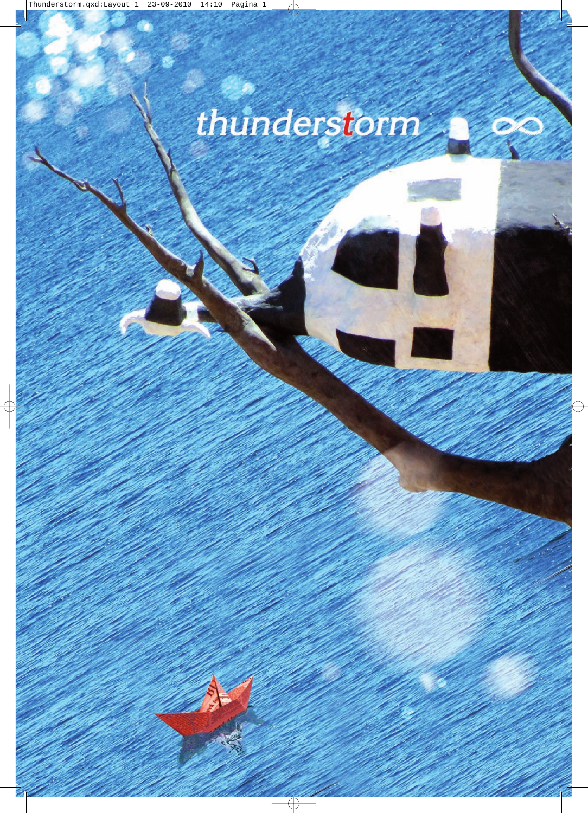## thunderstorm

**Contract Contract Contract Contract Contract Contract Contract Contract Contract Contract Contract Contract Contract Contract Contract Contract Contract Contract Contract Contract Contract Contract Contract Contract Contr** 

W